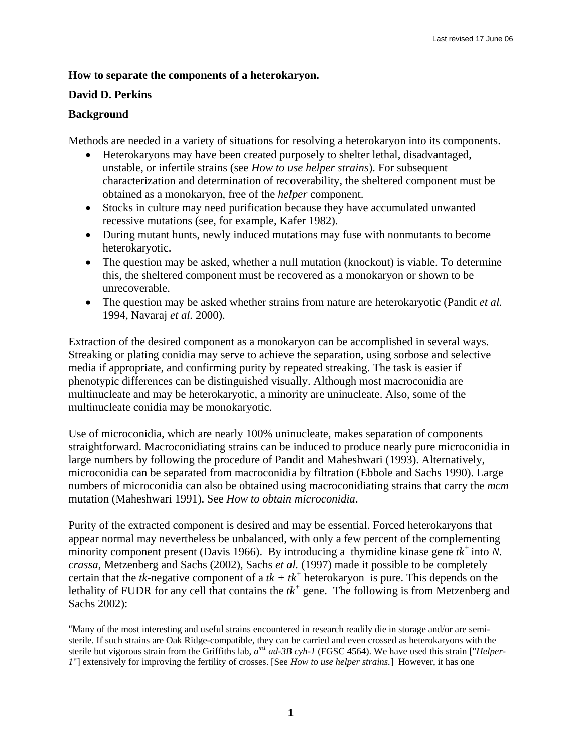## **How to separate the components of a heterokaryon.**

## **David D. Perkins**

## **Background**

Methods are needed in a variety of situations for resolving a heterokaryon into its components.

- Heterokaryons may have been created purposely to shelter lethal, disadvantaged, unstable, or infertile strains (see *How to use helper strains*). For subsequent characterization and determination of recoverability, the sheltered component must be obtained as a monokaryon, free of the *helper* component.
- Stocks in culture may need purification because they have accumulated unwanted recessive mutations (see, for example, Kafer 1982).
- During mutant hunts, newly induced mutations may fuse with nonmutants to become heterokaryotic.
- The question may be asked, whether a null mutation (knockout) is viable. To determine this, the sheltered component must be recovered as a monokaryon or shown to be unrecoverable.
- The question may be asked whether strains from nature are heterokaryotic (Pandit *et al.* 1994, Navaraj *et al.* 2000).

Extraction of the desired component as a monokaryon can be accomplished in several ways. Streaking or plating conidia may serve to achieve the separation, using sorbose and selective media if appropriate, and confirming purity by repeated streaking. The task is easier if phenotypic differences can be distinguished visually. Although most macroconidia are multinucleate and may be heterokaryotic, a minority are uninucleate. Also, some of the multinucleate conidia may be monokaryotic.

Use of microconidia, which are nearly 100% uninucleate, makes separation of components straightforward. Macroconidiating strains can be induced to produce nearly pure microconidia in large numbers by following the procedure of Pandit and Maheshwari (1993). Alternatively, microconidia can be separated from macroconidia by filtration (Ebbole and Sachs 1990). Large numbers of microconidia can also be obtained using macroconidiating strains that carry the *mcm* mutation (Maheshwari 1991). See *How to obtain microconidia*.

Purity of the extracted component is desired and may be essential. Forced heterokaryons that appear normal may nevertheless be unbalanced, with only a few percent of the complementing minority component present (Davis 1966). By introducing a thymidine kinase gene  $tk^+$  into N. *crassa*, Metzenberg and Sachs (2002), Sachs *et al.* (1997) made it possible to be completely certain that the *tk*-negative component of a  $tk + tk^+$  heterokaryon is pure. This depends on the lethality of FUDR for any cell that contains the  $tk^+$  gene. The following is from Metzenberg and Sachs 2002):

"Many of the most interesting and useful strains encountered in research readily die in storage and/or are semisterile. If such strains are Oak Ridge-compatible, they can be carried and even crossed as heterokaryons with the sterile but vigorous strain from the Griffiths lab, *am1 ad-3B cyh-1* (FGSC 4564). We have used this strain ["*Helper-1*"] extensively for improving the fertility of crosses. [See *How to use helper strains.*] However, it has one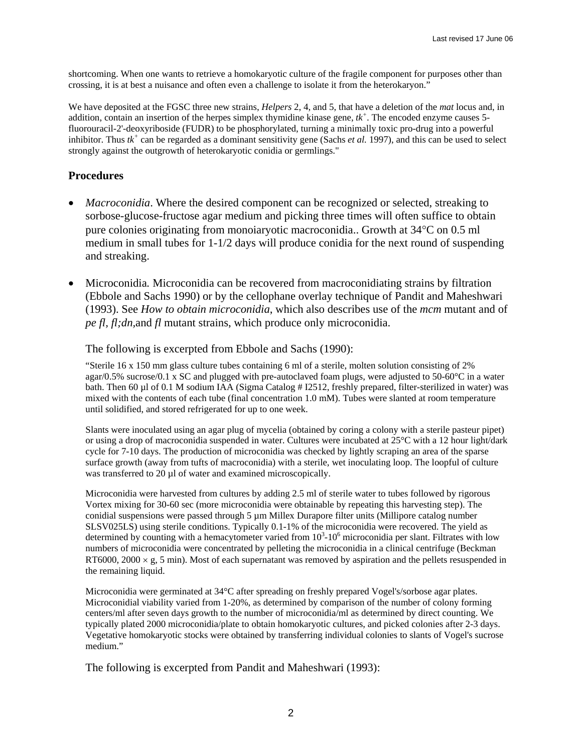shortcoming. When one wants to retrieve a homokaryotic culture of the fragile component for purposes other than crossing, it is at best a nuisance and often even a challenge to isolate it from the heterokaryon."

We have deposited at the FGSC three new strains, *Helpers* 2, 4, and 5, that have a deletion of the *mat* locus and, in addition, contain an insertion of the herpes simplex thymidine kinase gene,  $tk^+$ . The encoded enzyme causes 5fluorouracil-2'-deoxyriboside (FUDR) to be phosphorylated, turning a minimally toxic pro-drug into a powerful inhibitor. Thus  $tk^+$  can be regarded as a dominant sensitivity gene (Sachs *et al.* 1997), and this can be used to select strongly against the outgrowth of heterokaryotic conidia or germlings."

# **Procedures**

- *Macroconidia*. Where the desired component can be recognized or selected, streaking to sorbose-glucose-fructose agar medium and picking three times will often suffice to obtain pure colonies originating from monoiaryotic macroconidia.. Growth at 34°C on 0.5 ml medium in small tubes for 1-1/2 days will produce conidia for the next round of suspending and streaking.
- Microconidia*.* Microconidia can be recovered from macroconidiating strains by filtration (Ebbole and Sachs 1990) or by the cellophane overlay technique of Pandit and Maheshwari (1993). See *How to obtain microconidia*, which also describes use of the *mcm* mutant and of *pe fl, fl;dn,*and *fl* mutant strains, which produce only microconidia.

### The following is excerpted from Ebbole and Sachs (1990):

"Sterile 16 x 150 mm glass culture tubes containing 6 ml of a sterile, molten solution consisting of 2% agar/0.5% sucrose/0.1 x SC and plugged with pre-autoclaved foam plugs, were adjusted to 50-60 $^{\circ}$ C in a water bath. Then 60 µl of 0.1 M sodium IAA (Sigma Catalog # I2512, freshly prepared, filter-sterilized in water) was mixed with the contents of each tube (final concentration 1.0 mM). Tubes were slanted at room temperature until solidified, and stored refrigerated for up to one week.

Slants were inoculated using an agar plug of mycelia (obtained by coring a colony with a sterile pasteur pipet) or using a drop of macroconidia suspended in water. Cultures were incubated at 25°C with a 12 hour light/dark cycle for 7-10 days. The production of microconidia was checked by lightly scraping an area of the sparse surface growth (away from tufts of macroconidia) with a sterile, wet inoculating loop. The loopful of culture was transferred to 20 µl of water and examined microscopically.

Microconidia were harvested from cultures by adding 2.5 ml of sterile water to tubes followed by rigorous Vortex mixing for 30-60 sec (more microconidia were obtainable by repeating this harvesting step). The conidial suspensions were passed through  $5 \mu m$  Millex Durapore filter units (Millipore catalog number SLSV025LS) using sterile conditions. Typically 0.1-1% of the microconidia were recovered. The yield as determined by counting with a hemacytometer varied from  $10^3$ - $10^6$  microconidia per slant. Filtrates with low numbers of microconidia were concentrated by pelleting the microconidia in a clinical centrifuge (Beckman RT6000, 2000  $\times$  g, 5 min). Most of each supernatant was removed by aspiration and the pellets resuspended in the remaining liquid.

Microconidia were germinated at 34°C after spreading on freshly prepared Vogel's/sorbose agar plates. Microconidial viability varied from 1-20%, as determined by comparison of the number of colony forming centers/ml after seven days growth to the number of microconidia/ml as determined by direct counting. We typically plated 2000 microconidia/plate to obtain homokaryotic cultures, and picked colonies after 2-3 days. Vegetative homokaryotic stocks were obtained by transferring individual colonies to slants of Vogel's sucrose medium<sup>"</sup>

The following is excerpted from Pandit and Maheshwari (1993):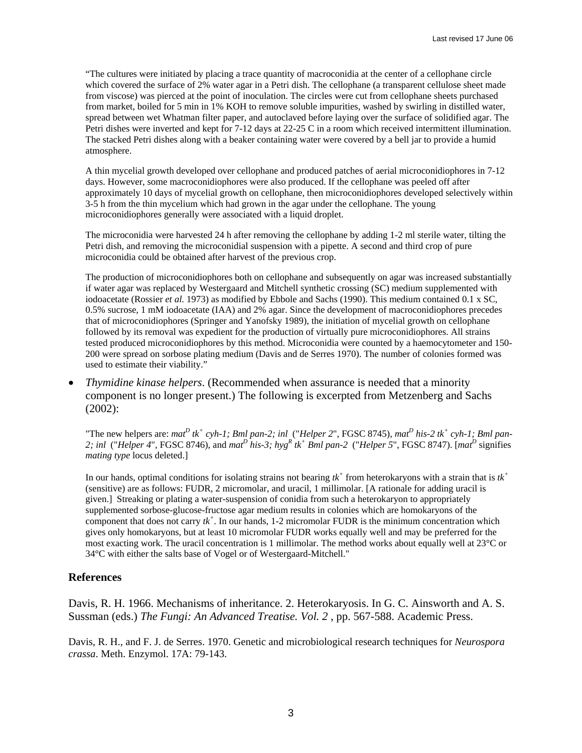"The cultures were initiated by placing a trace quantity of macroconidia at the center of a cellophane circle which covered the surface of 2% water agar in a Petri dish. The cellophane (a transparent cellulose sheet made from viscose) was pierced at the point of inoculation. The circles were cut from cellophane sheets purchased from market, boiled for 5 min in 1% KOH to remove soluble impurities, washed by swirling in distilled water, spread between wet Whatman filter paper, and autoclaved before laying over the surface of solidified agar. The Petri dishes were inverted and kept for 7-12 days at 22-25 C in a room which received intermittent illumination. The stacked Petri dishes along with a beaker containing water were covered by a bell jar to provide a humid atmosphere.

A thin mycelial growth developed over cellophane and produced patches of aerial microconidiophores in 7-12 days. However, some macroconidiophores were also produced. If the cellophane was peeled off after approximately 10 days of mycelial growth on cellophane, then microconidiophores developed selectively within 3-5 h from the thin mycelium which had grown in the agar under the cellophane. The young microconidiophores generally were associated with a liquid droplet.

The microconidia were harvested 24 h after removing the cellophane by adding 1-2 ml sterile water, tilting the Petri dish, and removing the microconidial suspension with a pipette. A second and third crop of pure microconidia could be obtained after harvest of the previous crop.

The production of microconidiophores both on cellophane and subsequently on agar was increased substantially if water agar was replaced by Westergaard and Mitchell synthetic crossing (SC) medium supplemented with iodoacetate (Rossier *et al.* 1973) as modified by Ebbole and Sachs (1990). This medium contained 0.1 x SC, 0.5% sucrose, 1 mM iodoacetate (IAA) and 2% agar. Since the development of macroconidiophores precedes that of microconidiophores (Springer and Yanofsky 1989), the initiation of mycelial growth on cellophane followed by its removal was expedient for the production of virtually pure microconidiophores. All strains tested produced microconidiophores by this method. Microconidia were counted by a haemocytometer and 150- 200 were spread on sorbose plating medium (Davis and de Serres 1970). The number of colonies formed was used to estimate their viability."

• *Thymidine kinase helpers*. (Recommended when assurance is needed that a minority component is no longer present.) The following is excerpted from Metzenberg and Sachs (2002):

"The new helpers are:  $ma^D$  tk<sup>+</sup> cyh-1; Bml pan-2; inl ("Helper 2", FGSC 8745),  $ma^D$  his-2 tk<sup>+</sup> cyh-1; Bml pan-2; inl ("Helper 4", FGSC 8746), and mat<sup>D</sup> his-3; hyg<sup>R</sup> tk<sup>+</sup> Bml pan-2 ("Helper 5", FGSC 8747). [mat<sup>D</sup> signifies *mating type* locus deleted.]

In our hands, optimal conditions for isolating strains not bearing  $tk^+$  from heterokaryons with a strain that is  $tk^+$ (sensitive) are as follows: FUDR, 2 micromolar, and uracil, 1 millimolar. [A rationale for adding uracil is given.] Streaking or plating a water-suspension of conidia from such a heterokaryon to appropriately supplemented sorbose-glucose-fructose agar medium results in colonies which are homokaryons of the component that does not carry  $tk^+$ . In our hands, 1-2 micromolar FUDR is the minimum concentration which gives only homokaryons, but at least 10 micromolar FUDR works equally well and may be preferred for the most exacting work. The uracil concentration is 1 millimolar. The method works about equally well at 23°C or 34°C with either the salts base of Vogel or of Westergaard-Mitchell."

#### **References**

Davis, R. H. 1966. Mechanisms of inheritance. 2. Heterokaryosis. In G. C. Ainsworth and A. S. Sussman (eds.) *The Fungi: An Advanced Treatise. Vol. 2* , pp. 567-588. Academic Press.

Davis, R. H., and F. J. de Serres. 1970. Genetic and microbiological research techniques for *Neurospora crassa*. Meth. Enzymol. 17A: 79-143.